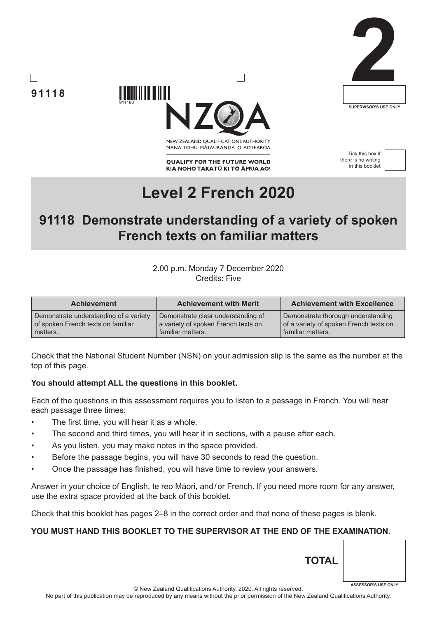





NEW ZEALAND OUALIFICATIONS AUTHORITY MANA TOHU MATAURANGA O AOTEAROA

**QUALIFY FOR THE FUTURE WORLD** KIA NOHO TAKATŪ KI TŌ ĀMUA AO!

Tick this box if there is no writing in this booklet



# **Level 2 French 2020**

## **91118 Demonstrate understanding of a variety of spoken French texts on familiar matters**

### 2.00 p.m. Monday 7 December 2020 Credits: Five

| <b>Achievement</b>                     | <b>Achievement with Merit</b>       | <b>Achievement with Excellence</b>     |
|----------------------------------------|-------------------------------------|----------------------------------------|
| Demonstrate understanding of a variety | Demonstrate clear understanding of  | Demonstrate thorough understanding     |
| of spoken French texts on familiar     | a variety of spoken French texts on | of a variety of spoken French texts on |
| matters.                               | familiar matters.                   | familiar matters.                      |

Check that the National Student Number (NSN) on your admission slip is the same as the number at the top of this page.

#### **You should attempt ALL the questions in this booklet.**

911180

Each of the questions in this assessment requires you to listen to a passage in French. You will hear each passage three times:

- The first time, you will hear it as a whole.
- The second and third times, you will hear it in sections, with a pause after each.
- As you listen, you may make notes in the space provided.
- Before the passage begins, you will have 30 seconds to read the question.
- Once the passage has finished, you will have time to review your answers.

Answer in your choice of English, te reo Māori, and/or French. If you need more room for any answer, use the extra space provided at the back of this booklet.

Check that this booklet has pages 2–8 in the correct order and that none of these pages is blank.

## **YOU MUST HAND THIS BOOKLET TO THE SUPERVISOR AT THE END OF THE EXAMINATION.**

© New Zealand Qualifications Authority, 2020. All rights reserved. No part of this publication may be reproduced by any means without the prior permission of the New Zealand Qualifications Authority.

**TOTAL**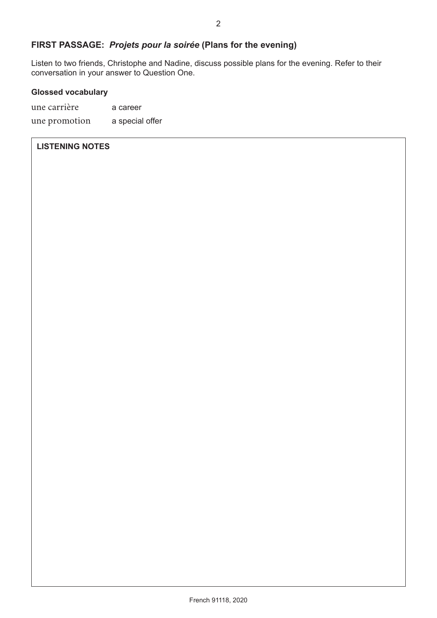## **FIRST PASSAGE:** *Projets pour la soirée* **(Plans for the evening)**

Listen to two friends, Christophe and Nadine, discuss possible plans for the evening. Refer to their conversation in your answer to Question One.

#### **Glossed vocabulary**

une carrière a career une promotion a special offer

#### **LISTENING NOTES**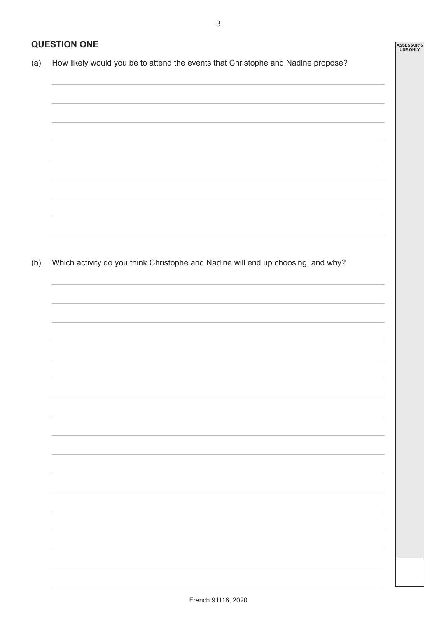**ASSESSOR'S USE ONLY**

## **QUESTION ONE**

(a) How likely would you be to attend the events that Christophe and Nadine propose?

(b) Which activity do you think Christophe and Nadine will end up choosing, and why?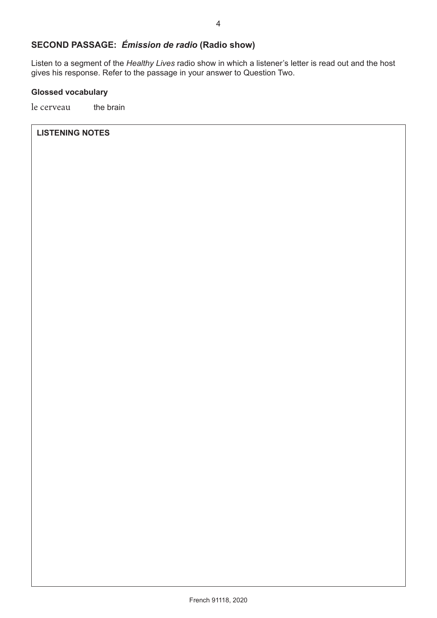## **SECOND PASSAGE:** *Émission de radio* **(Radio show)**

Listen to a segment of the *Healthy Lives* radio show in which a listener's letter is read out and the host gives his response. Refer to the passage in your answer to Question Two.

#### **Glossed vocabulary**

le cerveau the brain

#### **LISTENING NOTES**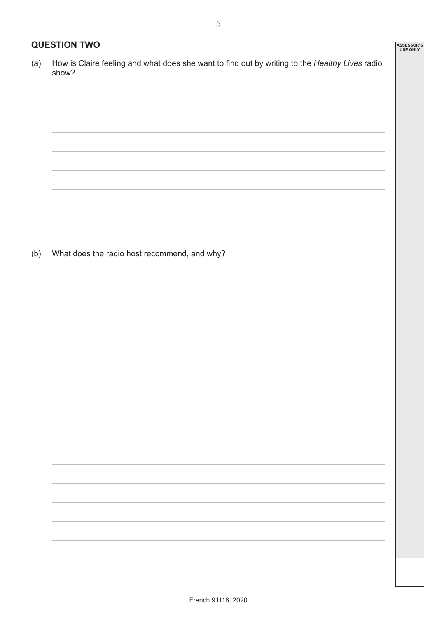## **QUESTION TWO**

(a) How is Claire feeling and what does she want to find out by writing to the *Healthy Lives* radio show?

(b) What does the radio host recommend, and why?

**ASSESSOR'S USE ONLY**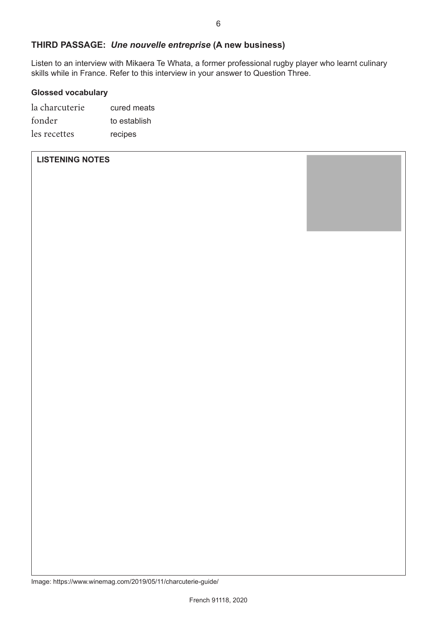## **THIRD PASSAGE:** *Une nouvelle entreprise* **(A new business)**

Listen to an interview with Mikaera Te Whata, a former professional rugby player who learnt culinary skills while in France. Refer to this interview in your answer to Question Three.

#### **Glossed vocabulary**

| la charcuterie | cured meats  |
|----------------|--------------|
| fonder         | to establish |
| les recettes   | recipes      |

### **LISTENING NOTES**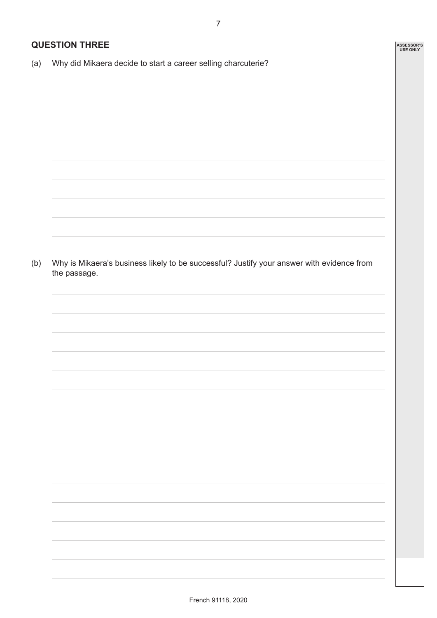**ASSESSOR'S USE ONLY**

## **QUESTION THREE**

(a) Why did Mikaera decide to start a career selling charcuterie?

(b) Why is Mikaera's business likely to be successful? Justify your answer with evidence from the passage.